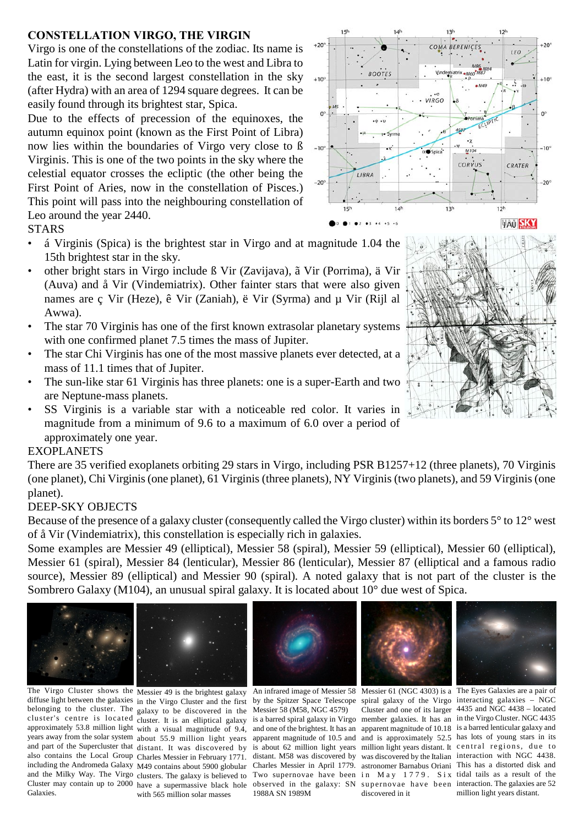## **CONSTELLATION VIRGO, THE VIRGIN**

Virgo is one of the constellations of the zodiac. Its name is Latin for virgin. Lying between Leo to the west and Libra to the east, it is the second largest constellation in the sky (after Hydra) with an area of 1294 square degrees. It can be easily found through its brightest star, Spica.

Due to the effects of precession of the equinoxes, the autumn equinox point (known as the First Point of Libra) now lies within the boundaries of Virgo very close to ß Virginis. This is one of the two points in the sky where the celestial equator crosses the ecliptic (the other being the First Point of Aries, now in the constellation of Pisces.) This point will pass into the neighbouring constellation of Leo around the year 2440.

## **STARS**

- á Virginis (Spica) is the brightest star in Virgo and at magnitude 1.04 the 15th brightest star in the sky.
- other bright stars in Virgo include ß Vir (Zavijava), ã Vir (Porrima), ä Vir (Auva) and å Vir (Vindemiatrix). Other fainter stars that were also given names are ç Vir (Heze), ê Vir (Zaniah), ë Vir (Syrma) and µ Vir (Rijl al Awwa).
- The star 70 Virginis has one of the first known extrasolar planetary systems with one confirmed planet 7.5 times the mass of Jupiter.
- The star Chi Virginis has one of the most massive planets ever detected, at a mass of 11.1 times that of Jupiter.
- The sun-like star 61 Virginis has three planets: one is a super-Earth and two are Neptune-mass planets.
- SS Virginis is a variable star with a noticeable red color. It varies in magnitude from a minimum of 9.6 to a maximum of 6.0 over a period of approximately one year.

## EXOPLANETS

There are 35 verified exoplanets orbiting 29 stars in Virgo, including PSR B1257+12 (three planets), 70 Virginis (one planet), Chi Virginis (one planet), 61 Virginis (three planets), NY Virginis (two planets), and 59 Virginis (one planet).

## DEEP-SKY OBJECTS

Because of the presence of a galaxy cluster (consequently called the Virgo cluster) within its borders 5° to 12° west of å Vir (Vindemiatrix), this constellation is especially rich in galaxies.

Some examples are Messier 49 (elliptical), Messier 58 (spiral), Messier 59 (elliptical), Messier 60 (elliptical), Messier 61 (spiral), Messier 84 (lenticular), Messier 86 (lenticular), Messier 87 (elliptical and a famous radio source), Messier 89 (elliptical) and Messier 90 (spiral). A noted galaxy that is not part of the cluster is the Sombrero Galaxy (M104), an unusual spiral galaxy. It is located about 10° due west of Spica.





Galaxies.

The Virgo Cluster shows the Messier 49 is the brightest galaxy diffuse light between the galaxies in the Virgo Cluster and the first belonging to the cluster. The galaxy to be discovered in the cluster's centre is located cluster. It is an elliptical galaxy approximately 53.8 million light with a visual magnitude of 9.4, years away from the solar system about 55.9 million light years and part of the Supercluster that distant. It was discovered by also contains the Local Group Charles Messier in February 1771. including the Andromeda Galaxy M49 contains about 5900 globular and the Milky Way. The Virgo clusters. The galaxy is believed to Cluster may contain up to 2000 have a supermassive black hole with 565 million solar masses



by the Spitzer Space Telescope Messier 58 (M58, NGC 4579)

and one of the brightest. It has an apparent magnitude of 10.18 is a barred lenticular galaxy and distant. M58 was discovered by was discovered by the Italian interaction with NGC 4438. observed in the galaxy: SN supernovae have been interaction. The galaxies are 52 is a barred spiral galaxy in Virgo apparent magnitude of 10.5 and is about 62 million light years Charles Messier in April 1779. Two supernovae have been 1988A SN 1989M



discovered in it



An infrared image of Messier 58 Messier 61 (NGC 4303) is a The Eyes Galaxies are a pair of spiral galaxy of the Virgo interacting galaxies - NGC Cluster and one of its larger 4435 and NGC 4438 - located member galaxies. It has an in the Virgo Cluster. NGC 4435 and is approximately 52.5 has lots of young stars in its million light years distant. It central regions, due to astronomer Barnabus Oriani This has a distorted disk and in May 1779. Six tidal tails as a result of the million light years distant.